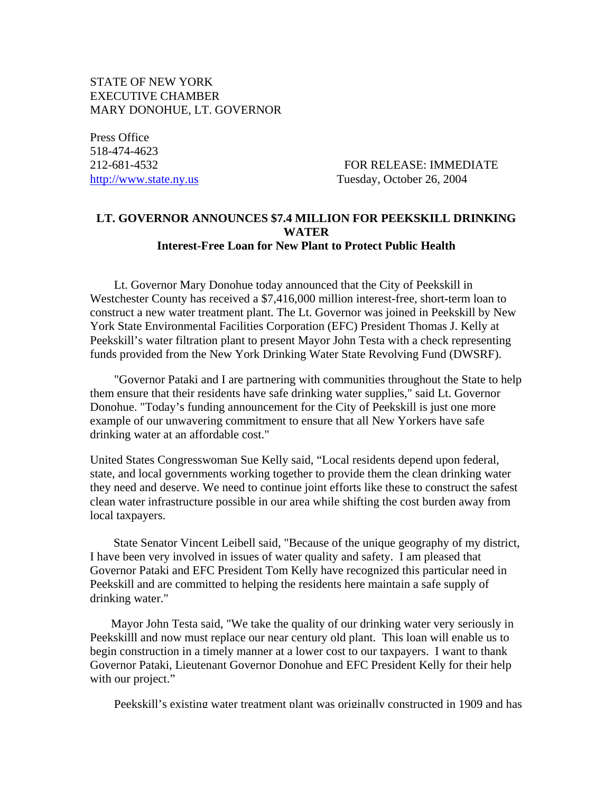## STATE OF NEW YORK EXECUTIVE CHAMBER MARY DONOHUE, LT. GOVERNOR

Press Office 518-474-4623

212-681-4532 FOR RELEASE: IMMEDIATE http://www.state.ny.us Tuesday, October 26, 2004

## **LT. GOVERNOR ANNOUNCES \$7.4 MILLION FOR PEEKSKILL DRINKING WATER Interest-Free Loan for New Plant to Protect Public Health**

 Lt. Governor Mary Donohue today announced that the City of Peekskill in Westchester County has received a \$7,416,000 million interest-free, short-term loan to construct a new water treatment plant. The Lt. Governor was joined in Peekskill by New York State Environmental Facilities Corporation (EFC) President Thomas J. Kelly at Peekskill's water filtration plant to present Mayor John Testa with a check representing funds provided from the New York Drinking Water State Revolving Fund (DWSRF).

 "Governor Pataki and I are partnering with communities throughout the State to help them ensure that their residents have safe drinking water supplies," said Lt. Governor Donohue. "Today's funding announcement for the City of Peekskill is just one more example of our unwavering commitment to ensure that all New Yorkers have safe drinking water at an affordable cost."

United States Congresswoman Sue Kelly said, "Local residents depend upon federal, state, and local governments working together to provide them the clean drinking water they need and deserve. We need to continue joint efforts like these to construct the safest clean water infrastructure possible in our area while shifting the cost burden away from local taxpayers.

 State Senator Vincent Leibell said, "Because of the unique geography of my district, I have been very involved in issues of water quality and safety. I am pleased that Governor Pataki and EFC President Tom Kelly have recognized this particular need in Peekskill and are committed to helping the residents here maintain a safe supply of drinking water."

 Mayor John Testa said, "We take the quality of our drinking water very seriously in Peekskilll and now must replace our near century old plant. This loan will enable us to begin construction in a timely manner at a lower cost to our taxpayers. I want to thank Governor Pataki, Lieutenant Governor Donohue and EFC President Kelly for their help with our project."

Peekskill's existing water treatment plant was originally constructed in 1909 and has